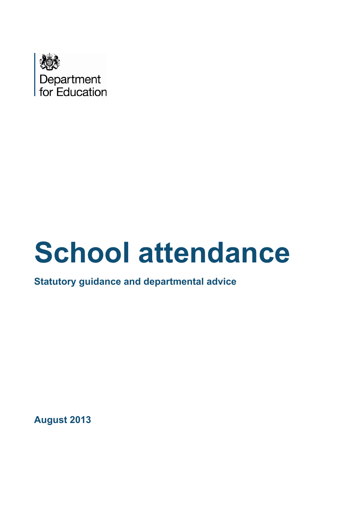

# **School attendance**

**Statutory guidance and departmental advice**

**August 2013**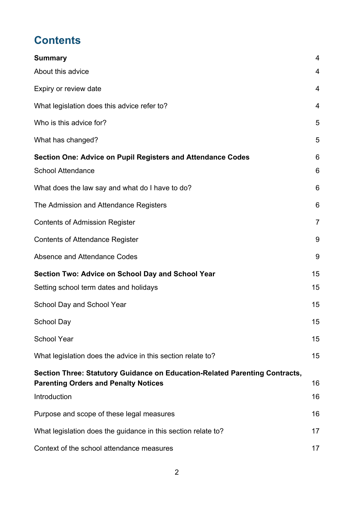# **Contents**

| <b>Summary</b>                                                                                                             | $\overline{4}$ |
|----------------------------------------------------------------------------------------------------------------------------|----------------|
| About this advice                                                                                                          | 4              |
| Expiry or review date                                                                                                      | 4              |
| What legislation does this advice refer to?                                                                                | $\overline{4}$ |
| Who is this advice for?                                                                                                    | 5              |
| What has changed?                                                                                                          | 5              |
| Section One: Advice on Pupil Registers and Attendance Codes<br><b>School Attendance</b>                                    | 6<br>6         |
| What does the law say and what do I have to do?                                                                            | 6              |
| The Admission and Attendance Registers                                                                                     | 6              |
| <b>Contents of Admission Register</b>                                                                                      | $\overline{7}$ |
| <b>Contents of Attendance Register</b>                                                                                     | 9              |
| Absence and Attendance Codes                                                                                               | 9              |
| Section Two: Advice on School Day and School Year                                                                          | 15             |
| Setting school term dates and holidays                                                                                     | 15             |
| School Day and School Year                                                                                                 | 15             |
| <b>School Day</b>                                                                                                          | 15             |
| <b>School Year</b>                                                                                                         | 15             |
| What legislation does the advice in this section relate to?                                                                | 15             |
| Section Three: Statutory Guidance on Education-Related Parenting Contracts,<br><b>Parenting Orders and Penalty Notices</b> | 16             |
| Introduction                                                                                                               | 16             |
| Purpose and scope of these legal measures                                                                                  | 16             |
| What legislation does the guidance in this section relate to?                                                              | 17             |
| Context of the school attendance measures                                                                                  | 17             |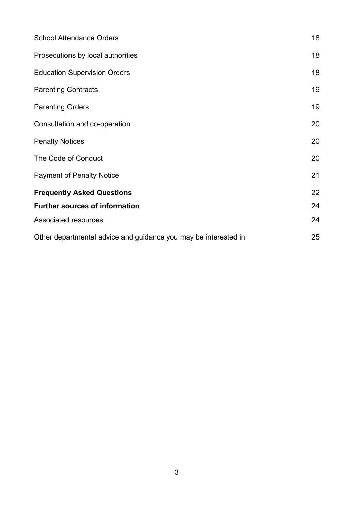| <b>School Attendance Orders</b>                                 | 18 |
|-----------------------------------------------------------------|----|
| Prosecutions by local authorities                               | 18 |
| <b>Education Supervision Orders</b>                             | 18 |
| <b>Parenting Contracts</b>                                      | 19 |
| <b>Parenting Orders</b>                                         | 19 |
| Consultation and co-operation                                   | 20 |
| <b>Penalty Notices</b>                                          | 20 |
| The Code of Conduct                                             | 20 |
| <b>Payment of Penalty Notice</b>                                | 21 |
| <b>Frequently Asked Questions</b>                               | 22 |
| <b>Further sources of information</b>                           | 24 |
| Associated resources                                            | 24 |
| Other departmental advice and guidance you may be interested in | 25 |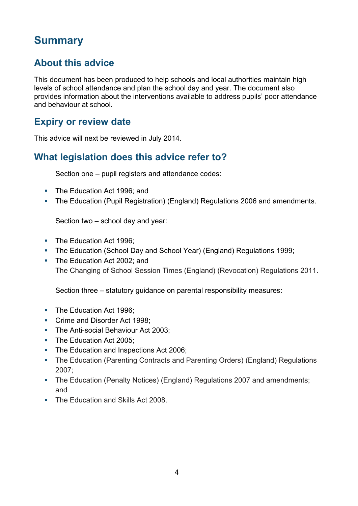# <span id="page-3-0"></span>**Summary**

# <span id="page-3-1"></span>**About this advice**

This document has been produced to help schools and local authorities maintain high levels of school attendance and plan the school day and year. The document also provides information about the interventions available to address pupils' poor attendance and behaviour at school.

## <span id="page-3-2"></span>**Expiry or review date**

This advice will next be reviewed in July 2014.

## <span id="page-3-3"></span>**What legislation does this advice refer to?**

Section one – pupil registers and attendance codes:

- The Education Act 1996; and
- The Education (Pupil Registration) (England) Regulations 2006 and amendments.

Section two – school day and year:

- The Education Act 1996;
- The Education (School Day and School Year) (England) Regulations 1999;
- The Education Act 2002; and The Changing of School Session Times (England) (Revocation) Regulations 2011.

Section three – statutory guidance on parental responsibility measures:

- The Education Act 1996;
- Crime and Disorder Act 1998;
- The Anti-social Behaviour Act 2003;
- The Education Act 2005:
- The Education and Inspections Act 2006;
- The Education (Parenting Contracts and Parenting Orders) (England) Regulations 2007;
- The Education (Penalty Notices) (England) Regulations 2007 and amendments; and
- The Education and Skills Act 2008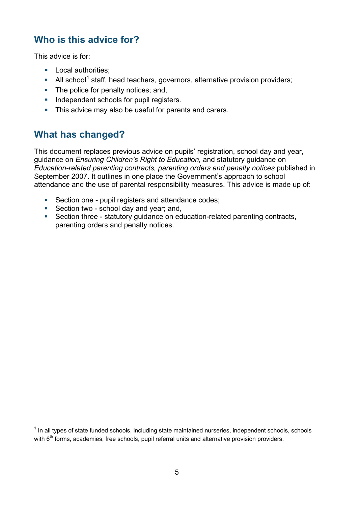# <span id="page-4-0"></span>**Who is this advice for?**

This advice is for:

- **Local authorities:**
- All school<sup>[1](#page-4-2)</sup> staff, head teachers, governors, alternative provision providers;
- The police for penalty notices; and,
- Independent schools for pupil registers.
- This advice may also be useful for parents and carers.

## <span id="page-4-1"></span>**What has changed?**

This document replaces previous advice on pupils' registration, school day and year, guidance on *Ensuring Children's Right to Education,* and statutory guidance on *Education-related parenting contracts, parenting orders and penalty notices* published in September 2007. It outlines in one place the Government's approach to school attendance and the use of parental responsibility measures. This advice is made up of:

- Section one pupil registers and attendance codes;
- Section two school day and year; and,
- Section three statutory guidance on education-related parenting contracts, parenting orders and penalty notices.

<span id="page-4-2"></span> $1$  In all types of state funded schools, including state maintained nurseries, independent schools, schools with  $6<sup>th</sup>$  forms, academies, free schools, pupil referral units and alternative provision providers.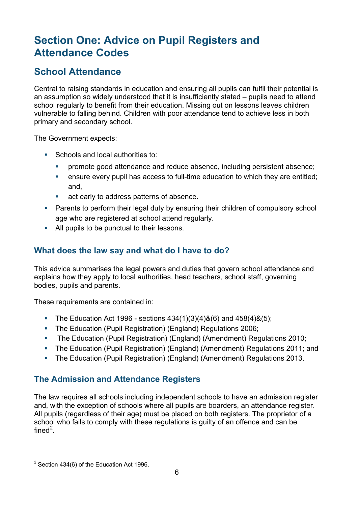# <span id="page-5-0"></span>**Section One: Advice on Pupil Registers and Attendance Codes**

# <span id="page-5-1"></span>**School Attendance**

Central to raising standards in education and ensuring all pupils can fulfil their potential is an assumption so widely understood that it is insufficiently stated – pupils need to attend school regularly to benefit from their education. Missing out on lessons leaves children vulnerable to falling behind. Children with poor attendance tend to achieve less in both primary and secondary school.

The Government expects:

- Schools and local authorities to:
	- **PEDFIGHT 2000 attendance and reduce absence, including persistent absence;**
	- ensure every pupil has access to full-time education to which they are entitled; and,
	- act early to address patterns of absence.
- **Parents to perform their legal duty by ensuring their children of compulsory school** age who are registered at school attend regularly.
- All pupils to be punctual to their lessons.

## <span id="page-5-2"></span>**What does the law say and what do I have to do?**

This advice summarises the legal powers and duties that govern school attendance and explains how they apply to local authorities, head teachers, school staff, governing bodies, pupils and parents.

These requirements are contained in:

- The Education Act 1996 sections  $434(1)(3)(4)8(6)$  and  $458(4)8(5)$ ;
- The Education (Pupil Registration) (England) Regulations 2006;
- The Education (Pupil Registration) (England) (Amendment) Regulations 2010;
- The Education (Pupil Registration) (England) (Amendment) Regulations 2011; and
- The Education (Pupil Registration) (England) (Amendment) Regulations 2013.

## <span id="page-5-3"></span>**The Admission and Attendance Registers**

The law requires all schools including independent schools to have an admission register and, with the exception of schools where all pupils are boarders, an attendance register. All pupils (regardless of their age) must be placed on both registers. The proprietor of a school who fails to comply with these regulations is guilty of an offence and can be fined<sup>[2](#page-5-4)</sup>.

<span id="page-5-4"></span> $2$  Section 434(6) of the Education Act 1996.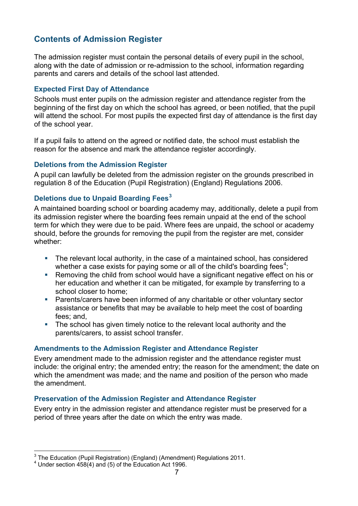## <span id="page-6-0"></span>**Contents of Admission Register**

The admission register must contain the personal details of every pupil in the school, along with the date of admission or re-admission to the school, information regarding parents and carers and details of the school last attended.

#### **Expected First Day of Attendance**

Schools must enter pupils on the admission register and attendance register from the beginning of the first day on which the school has agreed, or been notified, that the pupil will attend the school. For most pupils the expected first day of attendance is the first day of the school year.

If a pupil fails to attend on the agreed or notified date, the school must establish the reason for the absence and mark the attendance register accordingly.

#### **Deletions from the Admission Register**

A pupil can lawfully be deleted from the admission register on the grounds prescribed in regulation 8 of the Education (Pupil Registration) (England) Regulations 2006.

#### **Deletions due to Unpaid Boarding Fees[3](#page-6-1)**

A maintained boarding school or boarding academy may, additionally, delete a pupil from its admission register where the boarding fees remain unpaid at the end of the school term for which they were due to be paid. Where fees are unpaid, the school or academy should, before the grounds for removing the pupil from the register are met, consider whether:

- The relevant local authority, in the case of a maintained school, has considered whether a case exists for paying some or all of the child's boarding fees<sup>[4](#page-6-2)</sup>;
- Removing the child from school would have a significant negative effect on his or her education and whether it can be mitigated, for example by transferring to a school closer to home;
- Parents/carers have been informed of any charitable or other voluntary sector assistance or benefits that may be available to help meet the cost of boarding fees; and,
- The school has given timely notice to the relevant local authority and the parents/carers, to assist school transfer.

#### **Amendments to the Admission Register and Attendance Register**

Every amendment made to the admission register and the attendance register must include: the original entry; the amended entry; the reason for the amendment; the date on which the amendment was made; and the name and position of the person who made the amendment.

#### **Preservation of the Admission Register and Attendance Register**

Every entry in the admission register and attendance register must be preserved for a period of three years after the date on which the entry was made.

<span id="page-6-1"></span><sup>&</sup>lt;sup>3</sup> The Education (Pupil Registration) (England) (Amendment) Regulations 2011.<br><sup>4</sup> Under section 458(4) and (5) of the Education Act 1996.

<span id="page-6-2"></span>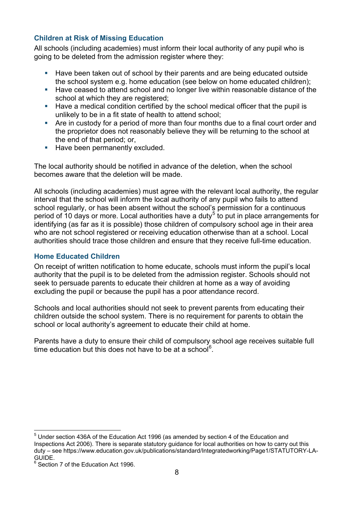#### **Children at Risk of Missing Education**

All schools (including academies) must inform their local authority of any pupil who is going to be deleted from the admission register where they:

- Have been taken out of school by their parents and are being educated outside the school system e.g. home education (see below on home educated children);
- **Have ceased to attend school and no longer live within reasonable distance of the** school at which they are registered:
- Have a medical condition certified by the school medical officer that the pupil is unlikely to be in a fit state of health to attend school;
- Are in custody for a period of more than four months due to a final court order and the proprietor does not reasonably believe they will be returning to the school at the end of that period; or,
- Have been permanently excluded.

The local authority should be notified in advance of the deletion, when the school becomes aware that the deletion will be made.

All schools (including academies) must agree with the relevant local authority, the regular interval that the school will inform the local authority of any pupil who fails to attend school regularly, or has been absent without the school's permission for a continuous period of 10 days or more. Local authorities have a duty<sup>[5](#page-7-0)</sup> to put in place arrangements for identifying (as far as it is possible) those children of compulsory school age in their area who are not school registered or receiving education otherwise than at a school. Local authorities should trace those children and ensure that they receive full-time education.

#### **Home Educated Children**

On receipt of written notification to home educate, schools must inform the pupil's local authority that the pupil is to be deleted from the admission register. Schools should not seek to persuade parents to educate their children at home as a way of avoiding excluding the pupil or because the pupil has a poor attendance record.

Schools and local authorities should not seek to prevent parents from educating their children outside the school system. There is no requirement for parents to obtain the school or local authority's agreement to educate their child at home.

Parents have a duty to ensure their child of compulsory school age receives suitable full time education but this does not have to be at a school<sup>[6](#page-7-1)</sup>.

<span id="page-7-0"></span><sup>&</sup>lt;sup>5</sup> Under section 436A of the Education Act 1996 (as amended by section 4 of the Education and Inspections Act 2006). There is separate statutory guidance for local authorities on how to carry out this duty – see https://www.education.gov.uk/publications/standard/Integratedworking/Page1/STATUTORY-LA-GUIDE.

<span id="page-7-1"></span><sup>&</sup>lt;sup>6</sup> Section 7 of the Education Act 1996.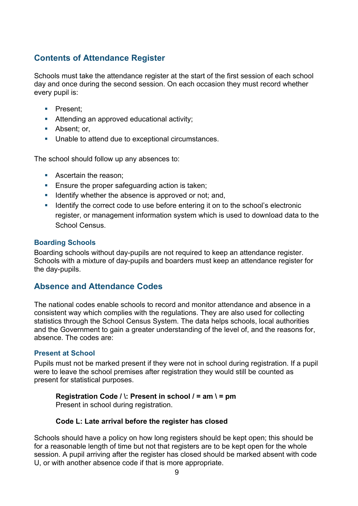## <span id="page-8-0"></span>**Contents of Attendance Register**

Schools must take the attendance register at the start of the first session of each school day and once during the second session. On each occasion they must record whether every pupil is:

- **Present:**
- **Attending an approved educational activity;**
- Absent: or,
- **Unable to attend due to exceptional circumstances.**

The school should follow up any absences to:

- **Ascertain the reason:**
- **Ensure the proper safeguarding action is taken;**
- I Identify whether the absence is approved or not; and,
- I Identify the correct code to use before entering it on to the school's electronic register, or management information system which is used to download data to the School Census.

#### **Boarding Schools**

Boarding schools without day-pupils are not required to keep an attendance register. Schools with a mixture of day-pupils and boarders must keep an attendance register for the day-pupils.

#### <span id="page-8-1"></span>**Absence and Attendance Codes**

The national codes enable schools to record and monitor attendance and absence in a consistent way which complies with the regulations. They are also used for collecting statistics through the School Census System. The data helps schools, local authorities and the Government to gain a greater understanding of the level of, and the reasons for, absence. The codes are:

#### **Present at School**

Pupils must not be marked present if they were not in school during registration. If a pupil were to leave the school premises after registration they would still be counted as present for statistical purposes.

## **Registration Code / \: Present in school / = am \ = pm**

Present in school during registration.

#### **Code L: Late arrival before the register has closed**

Schools should have a policy on how long registers should be kept open; this should be for a reasonable length of time but not that registers are to be kept open for the whole session. A pupil arriving after the register has closed should be marked absent with code U, or with another absence code if that is more appropriate.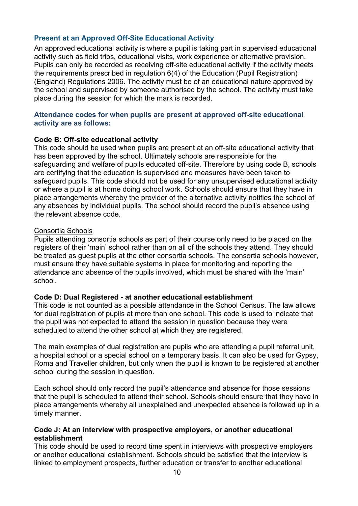#### **Present at an Approved Off-Site Educational Activity**

An approved educational activity is where a pupil is taking part in supervised educational activity such as field trips, educational visits, work experience or alternative provision. Pupils can only be recorded as receiving off-site educational activity if the activity meets the requirements prescribed in regulation 6(4) of the Education (Pupil Registration) (England) Regulations 2006. The activity must be of an educational nature approved by the school and supervised by someone authorised by the school. The activity must take place during the session for which the mark is recorded.

#### **Attendance codes for when pupils are present at approved off-site educational activity are as follows:**

#### **Code B: Off-site educational activity**

This code should be used when pupils are present at an off-site educational activity that has been approved by the school. Ultimately schools are responsible for the safeguarding and welfare of pupils educated off-site. Therefore by using code B, schools are certifying that the education is supervised and measures have been taken to safeguard pupils. This code should not be used for any unsupervised educational activity or where a pupil is at home doing school work. Schools should ensure that they have in place arrangements whereby the provider of the alternative activity notifies the school of any absences by individual pupils. The school should record the pupil's absence using the relevant absence code.

#### Consortia Schools

Pupils attending consortia schools as part of their course only need to be placed on the registers of their 'main' school rather than on all of the schools they attend. They should be treated as guest pupils at the other consortia schools. The consortia schools however, must ensure they have suitable systems in place for monitoring and reporting the attendance and absence of the pupils involved, which must be shared with the 'main' school.

#### **Code D: Dual Registered - at another educational establishment**

This code is not counted as a possible attendance in the School Census. The law allows for dual registration of pupils at more than one school. This code is used to indicate that the pupil was not expected to attend the session in question because they were scheduled to attend the other school at which they are registered.

The main examples of dual registration are pupils who are attending a pupil referral unit, a hospital school or a special school on a temporary basis. It can also be used for Gypsy, Roma and Traveller children, but only when the pupil is known to be registered at another school during the session in question.

Each school should only record the pupil's attendance and absence for those sessions that the pupil is scheduled to attend their school. Schools should ensure that they have in place arrangements whereby all unexplained and unexpected absence is followed up in a timely manner.

#### **Code J: At an interview with prospective employers, or another educational establishment**

This code should be used to record time spent in interviews with prospective employers or another educational establishment. Schools should be satisfied that the interview is linked to employment prospects, further education or transfer to another educational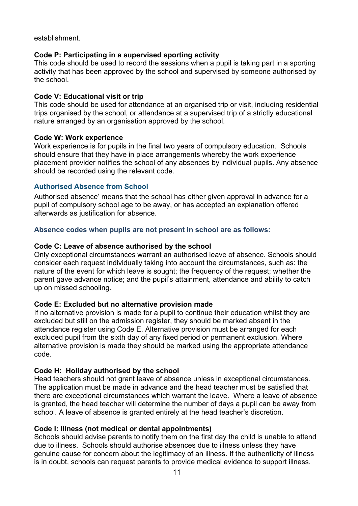establishment.

#### **Code P: Participating in a supervised sporting activity**

This code should be used to record the sessions when a pupil is taking part in a sporting activity that has been approved by the school and supervised by someone authorised by the school.

#### **Code V: Educational visit or trip**

This code should be used for attendance at an organised trip or visit, including residential trips organised by the school, or attendance at a supervised trip of a strictly educational nature arranged by an organisation approved by the school.

#### **Code W: Work experience**

Work experience is for pupils in the final two years of compulsory education. Schools should ensure that they have in place arrangements whereby the work experience placement provider notifies the school of any absences by individual pupils. Any absence should be recorded using the relevant code.

#### **Authorised Absence from School**

Authorised absence' means that the school has either given approval in advance for a pupil of compulsory school age to be away, or has accepted an explanation offered afterwards as justification for absence.

#### **Absence codes when pupils are not present in school are as follows:**

#### **Code C: Leave of absence authorised by the school**

Only exceptional circumstances warrant an authorised leave of absence. Schools should consider each request individually taking into account the circumstances, such as: the nature of the event for which leave is sought; the frequency of the request; whether the parent gave advance notice; and the pupil's attainment, attendance and ability to catch up on missed schooling.

#### **Code E: Excluded but no alternative provision made**

If no alternative provision is made for a pupil to continue their education whilst they are excluded but still on the admission register, they should be marked absent in the attendance register using Code E. Alternative provision must be arranged for each excluded pupil from the sixth day of any fixed period or permanent exclusion. Where alternative provision is made they should be marked using the appropriate attendance code.

#### **Code H: Holiday authorised by the school**

Head teachers should not grant leave of absence unless in exceptional circumstances. The application must be made in advance and the head teacher must be satisfied that there are exceptional circumstances which warrant the leave. Where a leave of absence is granted, the head teacher will determine the number of days a pupil can be away from school. A leave of absence is granted entirely at the head teacher's discretion.

#### **Code I: Illness (not medical or dental appointments)**

Schools should advise parents to notify them on the first day the child is unable to attend due to illness. Schools should authorise absences due to illness unless they have genuine cause for concern about the legitimacy of an illness. If the authenticity of illness is in doubt, schools can request parents to provide medical evidence to support illness.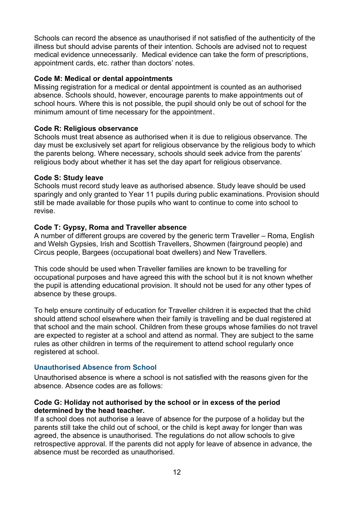Schools can record the absence as unauthorised if not satisfied of the authenticity of the illness but should advise parents of their intention. Schools are advised not to request medical evidence unnecessarily. Medical evidence can take the form of prescriptions, appointment cards, etc. rather than doctors' notes.

#### **Code M: Medical or dental appointments**

Missing registration for a medical or dental appointment is counted as an authorised absence. Schools should, however, encourage parents to make appointments out of school hours. Where this is not possible, the pupil should only be out of school for the minimum amount of time necessary for the appointment.

#### **Code R: Religious observance**

Schools must treat absence as authorised when it is due to religious observance. The day must be exclusively set apart for religious observance by the religious body to which the parents belong. Where necessary, schools should seek advice from the parents' religious body about whether it has set the day apart for religious observance.

#### **Code S: Study leave**

Schools must record study leave as authorised absence. Study leave should be used sparingly and only granted to Year 11 pupils during public examinations. Provision should still be made available for those pupils who want to continue to come into school to revise.

#### **Code T: Gypsy, Roma and Traveller absence**

A number of different groups are covered by the generic term Traveller – Roma, English and Welsh Gypsies, Irish and Scottish Travellers, Showmen (fairground people) and Circus people, Bargees (occupational boat dwellers) and New Travellers.

This code should be used when Traveller families are known to be travelling for occupational purposes and have agreed this with the school but it is not known whether the pupil is attending educational provision. It should not be used for any other types of absence by these groups.

To help ensure continuity of education for Traveller children it is expected that the child should attend school elsewhere when their family is travelling and be dual registered at that school and the main school. Children from these groups whose families do not travel are expected to register at a school and attend as normal. They are subject to the same rules as other children in terms of the requirement to attend school regularly once registered at school.

#### **Unauthorised Absence from School**

Unauthorised absence is where a school is not satisfied with the reasons given for the absence. Absence codes are as follows:

#### **Code G: Holiday not authorised by the school or in excess of the period determined by the head teacher.**

If a school does not authorise a leave of absence for the purpose of a holiday but the parents still take the child out of school, or the child is kept away for longer than was agreed, the absence is unauthorised. The regulations do not allow schools to give retrospective approval. If the parents did not apply for leave of absence in advance, the absence must be recorded as unauthorised.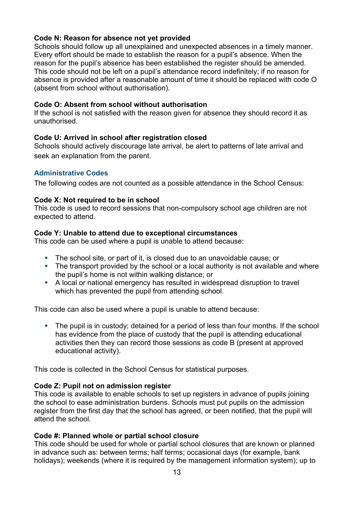#### **Code N: Reason for absence not yet provided**

Schools should follow up all unexplained and unexpected absences in a timely manner. Every effort should be made to establish the reason for a pupil's absence. When the reason for the pupil's absence has been established the register should be amended. This code should not be left on a pupil's attendance record indefinitely; if no reason for absence is provided after a reasonable amount of time it should be replaced with code O (absent from school without authorisation).

#### **Code O: Absent from school without authorisation**

If the school is not satisfied with the reason given for absence they should record it as unauthorised.

#### **Code U: Arrived in school after registration closed**

Schools should actively discourage late arrival, be alert to patterns of late arrival and seek an explanation from the parent.

#### **Administrative Codes**

The following codes are not counted as a possible attendance in the School Census:

#### **Code X: Not required to be in school**

This code is used to record sessions that non-compulsory school age children are not expected to attend.

#### **Code Y: Unable to attend due to exceptional circumstances**

This code can be used where a pupil is unable to attend because:

- The school site, or part of it, is closed due to an unavoidable cause; or
- The transport provided by the school or a local authority is not available and where the pupil's home is not within walking distance; or
- A local or national emergency has resulted in widespread disruption to travel which has prevented the pupil from attending school.

This code can also be used where a pupil is unable to attend because:

• The pupil is in custody; detained for a period of less than four months. If the school has evidence from the place of custody that the pupil is attending educational activities then they can record those sessions as code B (present at approved educational activity).

This code is collected in the School Census for statistical purposes.

#### **Code Z: Pupil not on admission register**

This code is available to enable schools to set up registers in advance of pupils joining the school to ease administration burdens. Schools must put pupils on the admission register from the first day that the school has agreed, or been notified, that the pupil will attend the school*.*

#### **Code #: Planned whole or partial school closure**

This code should be used for whole or partial school closures that are known or planned in advance such as: between terms; half terms; occasional days (for example, bank holidays); weekends (where it is required by the management information system); up to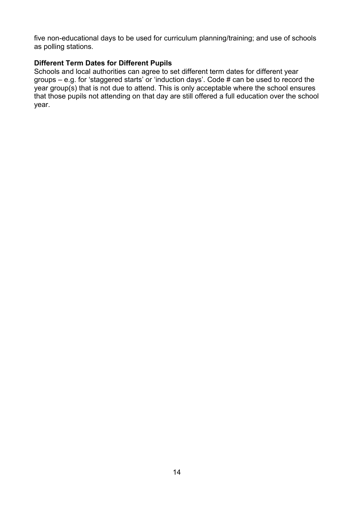five non-educational days to be used for curriculum planning/training; and use of schools as polling stations.

#### **Different Term Dates for Different Pupils**

Schools and local authorities can agree to set different term dates for different year groups – e.g. for 'staggered starts' or 'induction days'. Code # can be used to record the year group(s) that is not due to attend. This is only acceptable where the school ensures that those pupils not attending on that day are still offered a full education over the school year.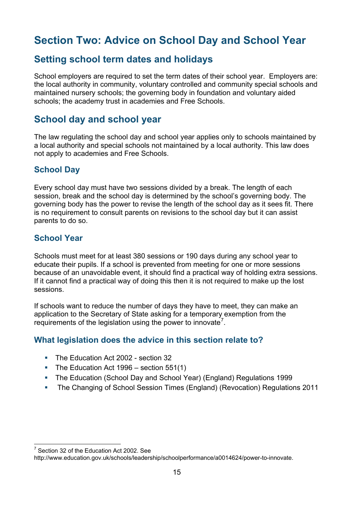# <span id="page-14-0"></span>**Section Two: Advice on School Day and School Year**

## <span id="page-14-1"></span>**Setting school term dates and holidays**

School employers are required to set the term dates of their school year. Employers are: the local authority in community, voluntary controlled and community special schools and maintained nursery schools; the governing body in foundation and voluntary aided schools; the academy trust in academies and Free Schools.

## <span id="page-14-2"></span>**School day and school year**

The law regulating the school day and school year applies only to schools maintained by a local authority and special schools not maintained by a local authority. This law does not apply to academies and Free Schools.

## <span id="page-14-3"></span>**School Day**

Every school day must have two sessions divided by a break. The length of each session, break and the school day is determined by the school's governing body. The governing body has the power to revise the length of the school day as it sees fit. There is no requirement to consult parents on revisions to the school day but it can assist parents to do so.

## <span id="page-14-4"></span>**School Year**

Schools must meet for at least 380 sessions or 190 days during any school year to educate their pupils. If a school is prevented from meeting for one or more sessions because of an unavoidable event, it should find a practical way of holding extra sessions. If it cannot find a practical way of doing this then it is not required to make up the lost sessions.

If schools want to reduce the number of days they have to meet, they can make an application to the Secretary of State asking for a temporary exemption from the requirements of the legislation using the power to innovate<sup>[7](#page-14-6)</sup>.

## <span id="page-14-5"></span>**What legislation does the advice in this section relate to?**

- The Education Act 2002 section 32
- The Education Act 1996 section 551(1)
- The Education (School Day and School Year) (England) Regulations 1999
- The Changing of School Session Times (England) (Revocation) Regulations 2011

<span id="page-14-6"></span> $7$  Section 32 of the Education Act 2002. See

http://www.education.gov.uk/schools/leadership/schoolperformance/a0014624/power-to-innovate.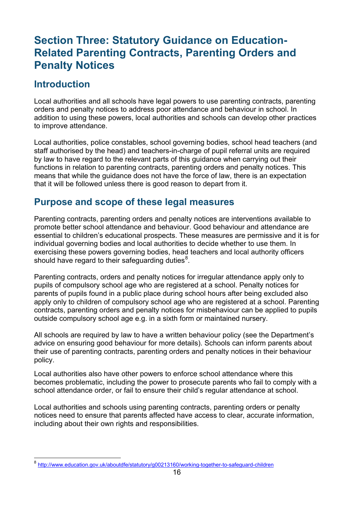# <span id="page-15-0"></span>**Section Three: Statutory Guidance on Education-Related Parenting Contracts, Parenting Orders and Penalty Notices**

## <span id="page-15-1"></span>**Introduction**

Local authorities and all schools have legal powers to use parenting contracts, parenting orders and penalty notices to address poor attendance and behaviour in school. In addition to using these powers, local authorities and schools can develop other practices to improve attendance.

Local authorities, police constables, school governing bodies, school head teachers (and staff authorised by the head) and teachers-in-charge of pupil referral units are required by law to have regard to the relevant parts of this guidance when carrying out their functions in relation to parenting contracts, parenting orders and penalty notices. This means that while the guidance does not have the force of law, there is an expectation that it will be followed unless there is good reason to depart from it.

## <span id="page-15-2"></span>**Purpose and scope of these legal measures**

Parenting contracts, parenting orders and penalty notices are interventions available to promote better school attendance and behaviour. Good behaviour and attendance are essential to children's educational prospects. These measures are permissive and it is for individual governing bodies and local authorities to decide whether to use them. In exercising these powers governing bodies, head teachers and local authority officers should have regard to their safeguarding duties $^8$  $^8$ .

Parenting contracts, orders and penalty notices for irregular attendance apply only to pupils of compulsory school age who are registered at a school. Penalty notices for parents of pupils found in a public place during school hours after being excluded also apply only to children of compulsory school age who are registered at a school. Parenting contracts, parenting orders and penalty notices for misbehaviour can be applied to pupils outside compulsory school age e.g. in a sixth form or maintained nursery.

All schools are required by law to have a written behaviour policy (see the Department's advice on ensuring good behaviour for more details). Schools can inform parents about their use of parenting contracts, parenting orders and penalty notices in their behaviour policy.

Local authorities also have other powers to enforce school attendance where this becomes problematic, including the power to prosecute parents who fail to comply with a school attendance order, or fail to ensure their child's regular attendance at school.

Local authorities and schools using parenting contracts, parenting orders or penalty notices need to ensure that parents affected have access to clear, accurate information, including about their own rights and responsibilities.

<span id="page-15-3"></span> <sup>8</sup> <http://www.education.gov.uk/aboutdfe/statutory/g00213160/working-together-to-safeguard-children>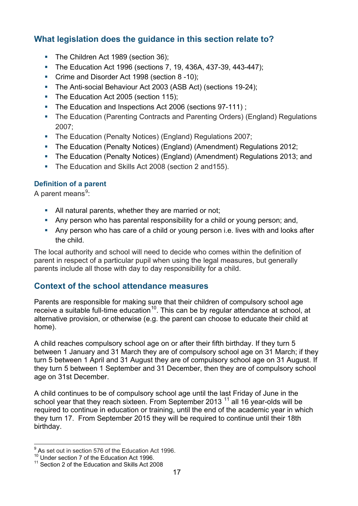## <span id="page-16-0"></span>**What legislation does the guidance in this section relate to?**

- The Children Act 1989 (section 36);
- The Education Act 1996 (sections 7, 19, 436A, 437-39, 443-447);
- Crime and Disorder Act 1998 (section 8 -10);
- The Anti-social Behaviour Act 2003 (ASB Act) (sections 19-24);
- The Education Act 2005 (section 115);
- The Education and Inspections Act 2006 (sections 97-111);
- The Education (Parenting Contracts and Parenting Orders) (England) Regulations 2007;
- The Education (Penalty Notices) (England) Regulations 2007;
- The Education (Penalty Notices) (England) (Amendment) Regulations 2012;
- The Education (Penalty Notices) (England) (Amendment) Regulations 2013; and
- The Education and Skills Act 2008 (section 2 and 155).

#### **Definition of a parent**

A parent means<sup>[9](#page-16-2)</sup>:

- All natural parents, whether they are married or not;
- Any person who has parental responsibility for a child or young person; and,
- Any person who has care of a child or young person i.e. lives with and looks after the child.

The local authority and school will need to decide who comes within the definition of parent in respect of a particular pupil when using the legal measures, but generally parents include all those with day to day responsibility for a child.

#### <span id="page-16-1"></span>**Context of the school attendance measures**

Parents are responsible for making sure that their children of compulsory school age receive a suitable full-time education<sup>[10](#page-16-3)</sup>. This can be by regular attendance at school, at alternative provision, or otherwise (e.g. the parent can choose to educate their child at home).

A child reaches compulsory school age on or after their fifth birthday. If they turn 5 between 1 January and 31 March they are of compulsory school age on 31 March; if they turn 5 between 1 April and 31 August they are of compulsory school age on 31 August. If they turn 5 between 1 September and 31 December, then they are of compulsory school age on 31st December.

A child continues to be of compulsory school age until the last Friday of June in the school year that they reach sixteen. From September 2013<sup>[11](#page-16-4)</sup> all 16 year-olds will be required to continue in education or training, until the end of the academic year in which they turn 17. From September 2015 they will be required to continue until their 18th birthday.

<span id="page-16-2"></span><sup>&</sup>lt;sup>9</sup> As set out in section 576 of the Education Act 1996.<br><sup>10</sup> Under section 7 of the Education Act 1996.<br><sup>11</sup> Section 2 of the Education and Skills Act 2008

<span id="page-16-3"></span>

<span id="page-16-4"></span>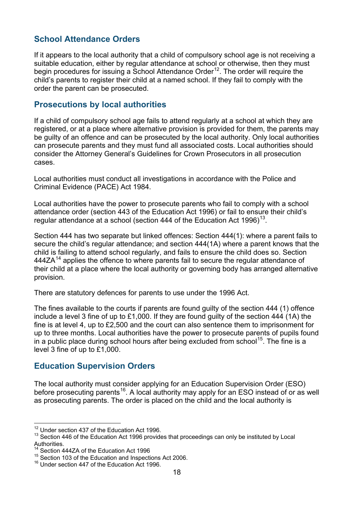## <span id="page-17-0"></span>**School Attendance Orders**

If it appears to the local authority that a child of compulsory school age is not receiving a suitable education, either by regular attendance at school or otherwise, then they must begin procedures for issuing a School Attendance Order<sup>12</sup>. The order will require the child's parents to register their child at a named school. If they fail to comply with the order the parent can be prosecuted.

#### <span id="page-17-1"></span>**Prosecutions by local authorities**

If a child of compulsory school age fails to attend regularly at a school at which they are registered, or at a place where alternative provision is provided for them, the parents may be guilty of an offence and can be prosecuted by the local authority. Only local authorities can prosecute parents and they must fund all associated costs. Local authorities should consider the Attorney General's Guidelines for Crown Prosecutors in all prosecution cases.

Local authorities must conduct all investigations in accordance with the Police and Criminal Evidence (PACE) Act 1984.

Local authorities have the power to prosecute parents who fail to comply with a school attendance order (section 443 of the Education Act 1996) or fail to ensure their child's regular attendance at a school (section 444 of the Education Act 1996)<sup>[13](#page-17-4)</sup>.

Section 444 has two separate but linked offences: Section 444(1): where a parent fails to secure the child's regular attendance; and section 444(1A) where a parent knows that the child is failing to attend school regularly, and fails to ensure the child does so. Section  $444ZA<sup>14</sup>$  $444ZA<sup>14</sup>$  $444ZA<sup>14</sup>$  applies the offence to where parents fail to secure the regular attendance of their child at a place where the local authority or governing body has arranged alternative provision.

There are statutory defences for parents to use under the 1996 Act.

The fines available to the courts if parents are found guilty of the section 444 (1) offence include a level 3 fine of up to £1,000. If they are found guilty of the section 444 (1A) the fine is at level 4, up to £2,500 and the court can also sentence them to imprisonment for up to three months. Local authorities have the power to prosecute parents of pupils found in a public place during school hours after being excluded from school<sup>15</sup>. The fine is a level 3 fine of up to £1,000.

## <span id="page-17-2"></span>**Education Supervision Orders**

The local authority must consider applying for an Education Supervision Order (ESO) before prosecuting parents<sup>16</sup>. A local authority may apply for an ESO instead of or as well as prosecuting parents. The order is placed on the child and the local authority is

<span id="page-17-4"></span><span id="page-17-3"></span><sup>&</sup>lt;sup>12</sup> Under section 437 of the Education Act 1996.<br><sup>13</sup> Section 446 of the Education Act 1996 provides that proceedings can only be instituted by Local Authorities.

<span id="page-17-5"></span><sup>&</sup>lt;sup>14</sup> Section 444ZA of the Education Act 1996

<span id="page-17-6"></span><sup>&</sup>lt;sup>15</sup> Section 103 of the Education and Inspections Act 2006.<br><sup>16</sup> Under section 447 of the Education Act 1996.

<span id="page-17-7"></span>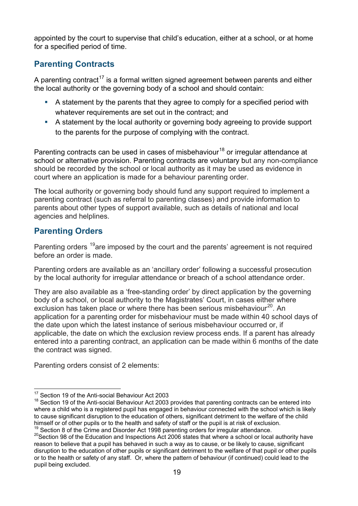<span id="page-18-0"></span>appointed by the court to supervise that child's education, either at a school, or at home for a specified period of time.

## **Parenting Contracts**

A parenting contract<sup>[17](#page-18-2)</sup> is a formal written signed agreement between parents and either the local authority or the governing body of a school and should contain:

- A statement by the parents that they agree to comply for a specified period with whatever requirements are set out in the contract; and
- A statement by the local authority or governing body agreeing to provide support to the parents for the purpose of complying with the contract.

Parenting contracts can be used in cases of misbehaviour<sup>[18](#page-18-3)</sup> or irregular attendance at school or alternative provision. Parenting contracts are voluntary but any non-compliance should be recorded by the school or local authority as it may be used as evidence in court where an application is made for a behaviour parenting order.

The local authority or governing body should fund any support required to implement a parenting contract (such as referral to parenting classes) and provide information to parents about other types of support available, such as details of national and local agencies and helplines.

## <span id="page-18-1"></span>**Parenting Orders**

Parenting orders <sup>[19](#page-18-4)</sup>are imposed by the court and the parents' agreement is not required before an order is made.

Parenting orders are available as an 'ancillary order' following a successful prosecution by the local authority for irregular attendance or breach of a school attendance order.

They are also available as a 'free-standing order' by direct application by the governing body of a school, or local authority to the Magistrates' Court, in cases either where exclusion has taken place or where there has been serious misbehaviour<sup>20</sup>. An application for a parenting order for misbehaviour must be made within 40 school days of the date upon which the latest instance of serious misbehaviour occurred or, if applicable, the date on which the exclusion review process ends. If a parent has already entered into a parenting contract, an application can be made within 6 months of the date the contract was signed.

Parenting orders consist of 2 elements:

<sup>&</sup>lt;sup>17</sup> Section 19 of the Anti-social Behaviour Act 2003

<span id="page-18-3"></span><span id="page-18-2"></span><sup>18</sup> Section 19 of the Anti-social Behaviour Act 2003 provides that parenting contracts can be entered into where a child who is a registered pupil has engaged in behaviour connected with the school which is likely to cause significant disruption to the education of others, significant detriment to the welfare of the child himself or of other pupils or to the health and safety of staff or the pupil is at risk of exclusion.<br><sup>19</sup> Section 8 of the Crime and Disorder Act 1998 parenting orders for irregular attendance.

<span id="page-18-5"></span><span id="page-18-4"></span> $20$  Section 98 of the Education and Inspections Act 2006 states that where a school or local authority have reason to believe that a pupil has behaved in such a way as to cause, or be likely to cause, significant disruption to the education of other pupils or significant detriment to the welfare of that pupil or other pupils or to the health or safety of any staff. Or, where the pattern of behaviour (if continued) could lead to the pupil being excluded.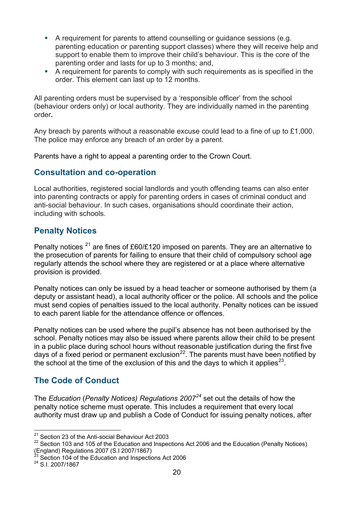- A requirement for parents to attend counselling or quidance sessions (e.g. parenting education or parenting support classes) where they will receive help and support to enable them to improve their child's behaviour. This is the core of the parenting order and lasts for up to 3 months; and,
- A requirement for parents to comply with such requirements as is specified in the order. This element can last up to 12 months.

All parenting orders must be supervised by a 'responsible officer' from the school (behaviour orders only) or local authority. They are individually named in the parenting order**.**

Any breach by parents without a reasonable excuse could lead to a fine of up to £1,000. The police may enforce any breach of an order by a parent.

Parents have a right to appeal a parenting order to the Crown Court.

## <span id="page-19-0"></span>**Consultation and co-operation**

Local authorities, registered social landlords and youth offending teams can also enter into parenting contracts or apply for parenting orders in cases of criminal conduct and anti-social behaviour. In such cases, organisations should coordinate their action, including with schools.

## <span id="page-19-1"></span>**Penalty Notices**

Penalty notices  $^{21}$  $^{21}$  $^{21}$  are fines of £60/£120 imposed on parents. They are an alternative to the prosecution of parents for failing to ensure that their child of compulsory school age regularly attends the school where they are registered or at a place where alternative provision is provided.

Penalty notices can only be issued by a head teacher or someone authorised by them (a deputy or assistant head), a local authority officer or the police. All schools and the police must send copies of penalties issued to the local authority. Penalty notices can be issued to each parent liable for the attendance offence or offences.

Penalty notices can be used where the pupil's absence has not been authorised by the school. Penalty notices may also be issued where parents allow their child to be present in a public place during school hours without reasonable justification during the first five days of a fixed period or permanent exclusion<sup>[22](#page-19-4)</sup>. The parents must have been notified by the school at the time of the exclusion of this and the days to which it applies<sup>[23](#page-19-5)</sup>.

## <span id="page-19-2"></span>**The Code of Conduct**

The *Education* (*Penalty Notices) Regulations 2007[24](#page-19-6)* set out the details of how the penalty notice scheme must operate. This includes a requirement that every local authority must draw up and publish a Code of Conduct for issuing penalty notices, after

<sup>&</sup>lt;sup>21</sup> Section 23 of the Anti-social Behaviour Act 2003

<span id="page-19-4"></span><span id="page-19-3"></span><sup>&</sup>lt;sup>22</sup> Section 103 and 105 of the Education and Inspections Act 2006 and the Education (Penalty Notices) (England) Regulations 2007 (S.I 2007/1867) <sup>23</sup> Section 104 of the Education and Inspections Act 2006 <sup>24</sup> S.I. 2007/1867

<span id="page-19-6"></span><span id="page-19-5"></span>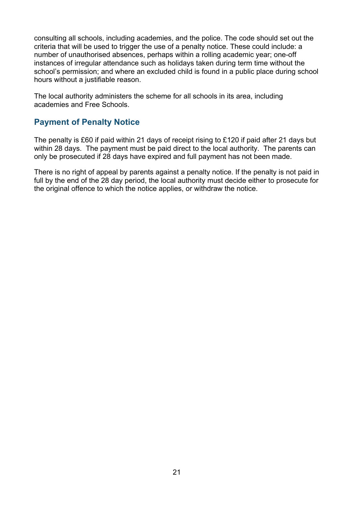consulting all schools, including academies, and the police. The code should set out the criteria that will be used to trigger the use of a penalty notice. These could include: a number of unauthorised absences, perhaps within a rolling academic year; one-off instances of irregular attendance such as holidays taken during term time without the school's permission; and where an excluded child is found in a public place during school hours without a justifiable reason.

The local authority administers the scheme for all schools in its area, including academies and Free Schools.

## <span id="page-20-0"></span>**Payment of Penalty Notice**

The penalty is £60 if paid within 21 days of receipt rising to £120 if paid after 21 days but within 28 days. The payment must be paid direct to the local authority. The parents can only be prosecuted if 28 days have expired and full payment has not been made.

There is no right of appeal by parents against a penalty notice. If the penalty is not paid in full by the end of the 28 day period, the local authority must decide either to prosecute for the original offence to which the notice applies, or withdraw the notice.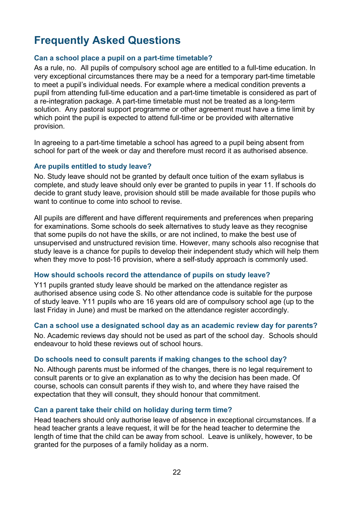# <span id="page-21-0"></span>**Frequently Asked Questions**

#### **Can a school place a pupil on a part-time timetable?**

As a rule, no. All pupils of compulsory school age are entitled to a full-time education. In very exceptional circumstances there may be a need for a temporary part-time timetable to meet a pupil's individual needs. For example where a medical condition prevents a pupil from attending full-time education and a part-time timetable is considered as part of a re-integration package. A part-time timetable must not be treated as a long-term solution. Any pastoral support programme or other agreement must have a time limit by which point the pupil is expected to attend full-time or be provided with alternative provision.

In agreeing to a part-time timetable a school has agreed to a pupil being absent from school for part of the week or day and therefore must record it as authorised absence.

#### **Are pupils entitled to study leave?**

No. Study leave should not be granted by default once tuition of the exam syllabus is complete, and study leave should only ever be granted to pupils in year 11. If schools do decide to grant study leave, provision should still be made available for those pupils who want to continue to come into school to revise.

All pupils are different and have different requirements and preferences when preparing for examinations. Some schools do seek alternatives to study leave as they recognise that some pupils do not have the skills, or are not inclined, to make the best use of unsupervised and unstructured revision time. However, many schools also recognise that study leave is a chance for pupils to develop their independent study which will help them when they move to post-16 provision, where a self-study approach is commonly used.

#### **How should schools record the attendance of pupils on study leave?**

Y11 pupils granted study leave should be marked on the attendance register as authorised absence using code S. No other attendance code is suitable for the purpose of study leave. Y11 pupils who are 16 years old are of compulsory school age (up to the last Friday in June) and must be marked on the attendance register accordingly.

#### **Can a school use a designated school day as an academic review day for parents?**

No. Academic reviews day should not be used as part of the school day. Schools should endeavour to hold these reviews out of school hours.

#### **Do schools need to consult parents if making changes to the school day?**

No. Although parents must be informed of the changes, there is no legal requirement to consult parents or to give an explanation as to why the decision has been made. Of course, schools can consult parents if they wish to, and where they have raised the expectation that they will consult, they should honour that commitment.

#### **Can a parent take their child on holiday during term time?**

Head teachers should only authorise leave of absence in exceptional circumstances. If a head teacher grants a leave request, it will be for the head teacher to determine the length of time that the child can be away from school. Leave is unlikely, however, to be granted for the purposes of a family holiday as a norm.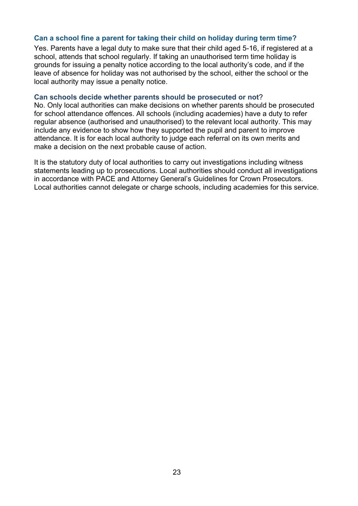#### **Can a school fine a parent for taking their child on holiday during term time?**

Yes. Parents have a legal duty to make sure that their child aged 5-16, if registered at a school, attends that school regularly. If taking an unauthorised term time holiday is grounds for issuing a penalty notice according to the local authority's code, and if the leave of absence for holiday was not authorised by the school, either the school or the local authority may issue a penalty notice.

#### **Can schools decide whether parents should be prosecuted or not**?

No. Only local authorities can make decisions on whether parents should be prosecuted for school attendance offences. All schools (including academies) have a duty to refer regular absence (authorised and unauthorised) to the relevant local authority. This may include any evidence to show how they supported the pupil and parent to improve attendance. It is for each local authority to judge each referral on its own merits and make a decision on the next probable cause of action.

It is the statutory duty of local authorities to carry out investigations including witness statements leading up to prosecutions. Local authorities should conduct all investigations in accordance with PACE and Attorney General's Guidelines for Crown Prosecutors. Local authorities cannot delegate or charge schools, including academies for this service.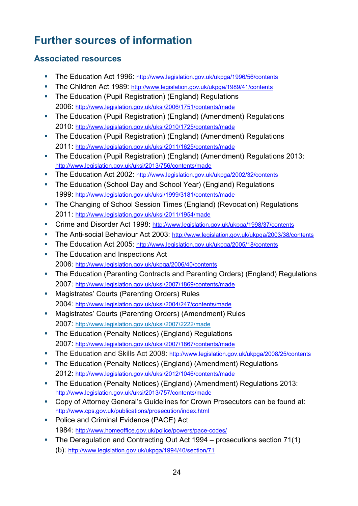# <span id="page-23-0"></span>**Further sources of information**

## <span id="page-23-1"></span>**Associated resources**

- The Education Act 1996:<http://www.legislation.gov.uk/ukpga/1996/56/contents>
- The Children Act 1989: <http://www.legislation.gov.uk/ukpga/1989/41/contents>
- The Education (Pupil Registration) (England) Regulations 2006:<http://www.legislation.gov.uk/uksi/2006/1751/contents/made>
- The Education (Pupil Registration) (England) (Amendment) Regulations [2010: http://www.legislation.gov.uk/uksi/2010/1725/contents/made](http://www.legislation.gov.uk/uksi/2010/1725/contents/made)
- The Education (Pupil Registration) (England) (Amendment) Regulations 2011:<http://www.legislation.gov.uk/uksi/2011/1625/contents/made>
- The Education (Pupil Registration) (England) (Amendment) Regulations 2013: <http://www.legislation.gov.uk/uksi/2013/756/contents/made>
- The Education Act 2002:<http://www.legislation.gov.uk/ukpga/2002/32/contents>
- The Education (School Day and School Year) (England) Regulations 1999:<http://www.legislation.gov.uk/uksi/1999/3181/contents/made>
- **The Changing of School Session Times (England) (Revocation) Regulations** 2011:<http://www.legislation.gov.uk/uksi/2011/1954/made>
- Crime and Disorder Act 1998:<http://www.legislation.gov.uk/ukpga/1998/37/contents>
- The Anti-social Behaviour Act 2003:<http://www.legislation.gov.uk/ukpga/2003/38/contents>
- The Education Act 2005:<http://www.legislation.gov.uk/ukpga/2005/18/contents>
- The Education and Inspections Act 2006:<http://www.legislation.gov.uk/ukpga/2006/40/contents>
- The Education (Parenting Contracts and Parenting Orders) (England) Regulations 2007:<http://www.legislation.gov.uk/uksi/2007/1869/contents/made>
- **Magistrates' Courts (Parenting Orders) Rules** 2004: <http://www.legislation.gov.uk/uksi/2004/247/contents/made>
- Magistrates' Courts (Parenting Orders) (Amendment) Rules 2007: <http://www.legislation.gov.uk/uksi/2007/2222/made>
- The Education (Penalty Notices) (England) Regulations 2007:<http://www.legislation.gov.uk/uksi/2007/1867/contents/made>
- The Education and Skills Act 2008: <http://www.legislation.gov.uk/ukpga/2008/25/contents>
- The Education (Penalty Notices) (England) (Amendment) Regulations 2012:<http://www.legislation.gov.uk/uksi/2012/1046/contents/made>
- The Education (Penalty Notices) (England) (Amendment) Regulations 2013: <http://www.legislation.gov.uk/uksi/2013/757/contents/made>
- Copy of Attorney General's Guidelines for Crown Prosecutors can be found at: <http://www.cps.gov.uk/publications/prosecution/index.html>
- **Police and Criminal Evidence (PACE) Act** 1984:<http://www.homeoffice.gov.uk/police/powers/pace-codes/>
- The Deregulation and Contracting Out Act 1994 prosecutions section 71(1) (b):<http://www.legislation.gov.uk/ukpga/1994/40/section/71>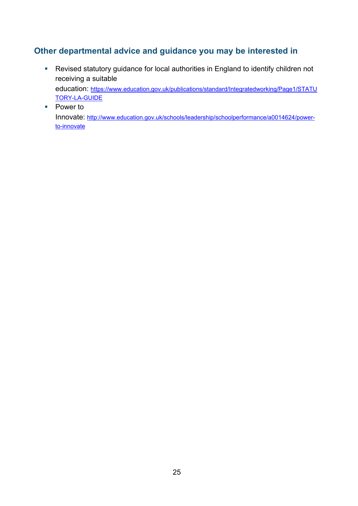## <span id="page-24-0"></span>**Other departmental advice and guidance you may be interested in**

- Revised statutory guidance for local authorities in England to identify children not receiving a suitable education: [https://www.education.gov.uk/publications/standard/Integratedworking/Page1/STATU](https://www.education.gov.uk/publications/standard/Integratedworking/Page1/STATUTORY-LA-GUIDE) [TORY-LA-GUIDE](https://www.education.gov.uk/publications/standard/Integratedworking/Page1/STATUTORY-LA-GUIDE)
- Power to Innovate: [http://www.education.gov.uk/schools/leadership/schoolperformance/a0014624/power](http://www.education.gov.uk/schools/leadership/schoolperformance/a0014624/power-to-innovate)[to-innovate](http://www.education.gov.uk/schools/leadership/schoolperformance/a0014624/power-to-innovate)